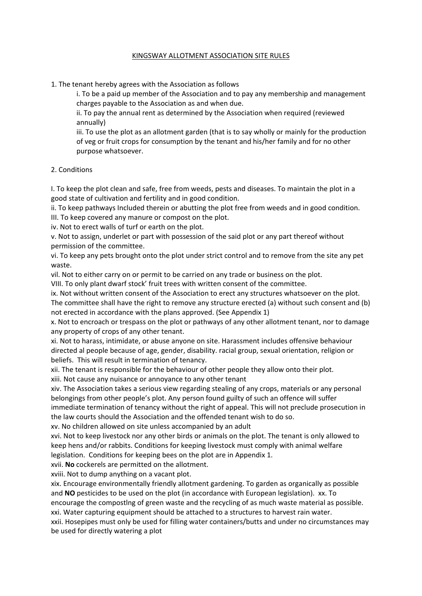## KINGSWAY ALLOTMENT ASSOCIATION SITE RULES

1. The tenant hereby agrees with the Association as follows

i. To be a paid up member of the Association and to pay any membership and management charges payable to the Association as and when due.

ii. To pay the annual rent as determined by the Association when required (reviewed annually)

iii. To use the plot as an allotment garden (that is to say wholly or mainly for the production of veg or fruit crops for consumption by the tenant and his/her family and for no other purpose whatsoever.

## 2. Conditions

I. To keep the plot clean and safe, free from weeds, pests and diseases. To maintain the plot in a good state of cultivation and fertility and in good condition.

ii. To keep pathways Included therein or abutting the plot free from weeds and in good condition. III. To keep covered any manure or compost on the plot.

iv. Not to erect walls of turf or earth on the plot.

v. Not to assign, underlet or part with possession of the said plot or any part thereof without permission of the committee.

vi. To keep any pets brought onto the plot under strict control and to remove from the site any pet waste.

vil. Not to either carry on or permit to be carried on any trade or business on the plot.

VIII. To only plant dwarf stock' fruit trees with written consent of the committee.

ix. Not without written consent of the Association to erect any structures whatsoever on the plot.

The committee shall have the right to remove any structure erected (a) without such consent and (b) not erected in accordance with the plans approved. (See Appendix 1)

x. Not to encroach or trespass on the plot or pathways of any other allotment tenant, nor to damage any property of crops of any other tenant.

xi. Not to harass, intimidate, or abuse anyone on site. Harassment includes offensive behaviour directed al people because of age, gender, disability. racial group, sexual orientation, religion or beliefs. This will result in termination of tenancy.

xii. The tenant is responsible for the behaviour of other people they allow onto their plot.

xiii. Not cause any nuisance or annoyance to any other tenant xiv. The Association takes a serious view regarding stealing of any crops, materials or any personal belongings from other people's plot. Any person found guilty of such an offence will suffer

immediate termination of tenancy without the right of appeal. This will not preclude prosecution in the law courts should the Association and the offended tenant wish to do so.

xv. No children allowed on site unless accompanied by an adult

xvi. Not to keep livestock nor any other birds or animals on the plot. The tenant is only allowed to keep hens and/or rabbits. Conditions for keeping livestock must comply with animal welfare legislation. Conditions for keeping bees on the plot are in Appendix 1.

xvii. **No** cockerels are permitted on the allotment.

xviii. Not to dump anything on a vacant plot.

xix. Encourage environmentally friendly allotment gardening. To garden as organically as possible and **NO** pesticides to be used on the plot (in accordance with European legislation). xx. To encourage the compostlng of green waste and the recycling of as much waste material as possible. xxi. Water capturing equipment should be attached to a structures to harvest rain water.

xxii. Hosepipes must only be used for filling water containers/butts and under no circumstances may be used for directly watering a plot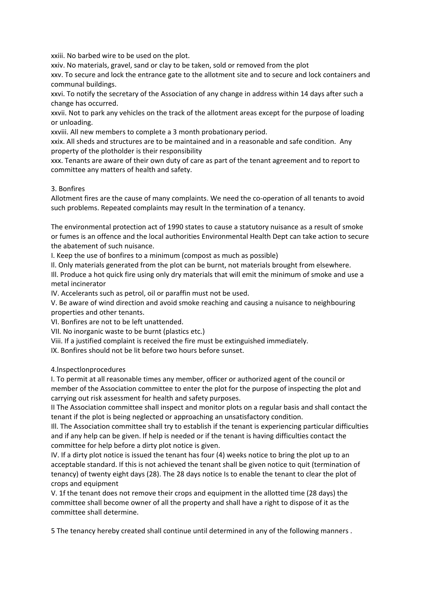xxiii. No barbed wire to be used on the plot.

xxiv. No materials, gravel, sand or clay to be taken, sold or removed from the plot

xxv. To secure and lock the entrance gate to the allotment site and to secure and lock containers and communal buildings.

xxvi. To notify the secretary of the Association of any change in address within 14 days after such a change has occurred.

xxvii. Not to park any vehicles on the track of the allotment areas except for the purpose of loading or unloading.

xxviii. All new members to complete a 3 month probationary period.

xxix. All sheds and structures are to be maintained and in a reasonable and safe condition. Any property of the plotholder is their responsibility

xxx. Tenants are aware of their own duty of care as part of the tenant agreement and to report to committee any matters of health and safety.

## 3. Bonfires

Allotment fires are the cause of many complaints. We need the co‐operation of all tenants to avoid such problems. Repeated complaints may result In the termination of a tenancy.

The environmental protection act of 1990 states to cause a statutory nuisance as a result of smoke or fumes is an offence and the local authorities Environmental Health Dept can take action to secure the abatement of such nuisance.

I. Keep the use of bonfires to a minimum (compost as much as possible)

Il. Only materials generated from the plot can be burnt, not materials brought from elsewhere.

Ill. Produce a hot quick fire using only dry materials that will emit the minimum of smoke and use a metal incinerator

IV. Accelerants such as petrol, oil or paraffin must not be used.

V. Be aware of wind direction and avoid smoke reaching and causing a nuisance to neighbouring properties and other tenants.

VI. Bonfires are not to be left unattended.

VII. No inorganic waste to be burnt (plastics etc.)

Viii. If a justified complaint is received the fire must be extinguished immediately.

IX. Bonfires should not be lit before two hours before sunset.

4.lnspectlonprocedures

I. To permit at all reasonable times any member, officer or authorized agent of the council or member of the Association committee to enter the plot for the purpose of inspecting the plot and carrying out risk assessment for health and safety purposes.

II The Association committee shall inspect and monitor plots on a regular basis and shall contact the tenant if the plot is being neglected or approaching an unsatisfactory condition.

Ill. The Association committee shall try to establish if the tenant is experiencing particular difficulties and if any help can be given. If help is needed or if the tenant is having difficulties contact the committee for help before a dirty plot notice is given.

IV. If a dirty plot notice is issued the tenant has four (4) weeks notice to bring the plot up to an acceptable standard. If this is not achieved the tenant shall be given notice to quit (termination of tenancy) of twenty eight days (28). The 28 days notice Is to enable the tenant to clear the plot of crops and equipment

V. 1f the tenant does not remove their crops and equipment in the allotted time (28 days) the committee shall become owner of all the property and shall have a right to dispose of it as the committee shall determine.

5 The tenancy hereby created shall continue until determined in any of the following manners .